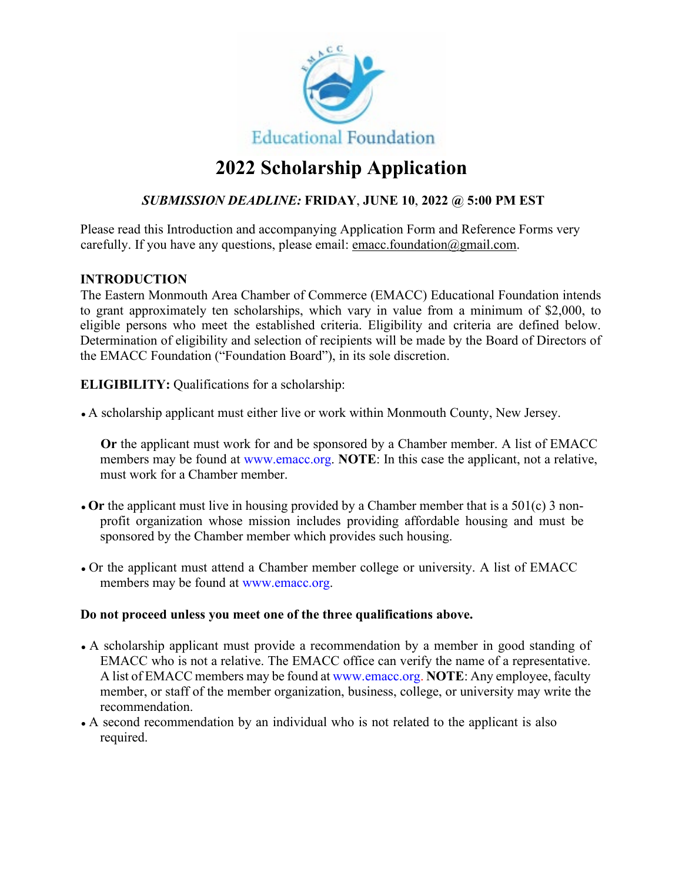

# **2022 Scholarship Application**

# *SUBMISSION DEADLINE:* **FRIDAY**, **JUNE 10**, **2022 @ 5:00 PM EST**

Please read this Introduction and accompanying Application Form and Reference Forms very carefully. If you have any questions, please email: emacc.foundation@gmail.com.

## **INTRODUCTION**

The Eastern Monmouth Area Chamber of Commerce (EMACC) Educational Foundation intends to grant approximately ten scholarships, which vary in value from a minimum of \$2,000, to eligible persons who meet the established criteria. Eligibility and criteria are defined below. Determination of eligibility and selection of recipients will be made by the Board of Directors of the EMACC Foundation ("Foundation Board"), in its sole discretion.

**ELIGIBILITY:** Qualifications for a scholarship:

• A scholarship applicant must either live or work within Monmouth County, New Jersey.

**Or** the applicant must work for and be sponsored by a Chamber member. A list of EMACC members may be found at www.emacc.org. **NOTE**: In this case the applicant, not a relative, must work for a Chamber member.

- Or the applicant must live in housing provided by a Chamber member that is a 501(c) 3 nonprofit organization whose mission includes providing affordable housing and must be sponsored by the Chamber member which provides such housing.
- Or the applicant must attend a Chamber member college or university. A list of EMACC members may be found at www.emacc.org.

## **Do not proceed unless you meet one of the three qualifications above.**

- A scholarship applicant must provide a recommendation by a member in good standing of EMACC who is not a relative. The EMACC office can verify the name of a representative. A list of EMACC members may be found at www.emacc.org. **NOTE**: Any employee, faculty member, or staff of the member organization, business, college, or university may write the recommendation.
- A second recommendation by an individual who is not related to the applicant is also required.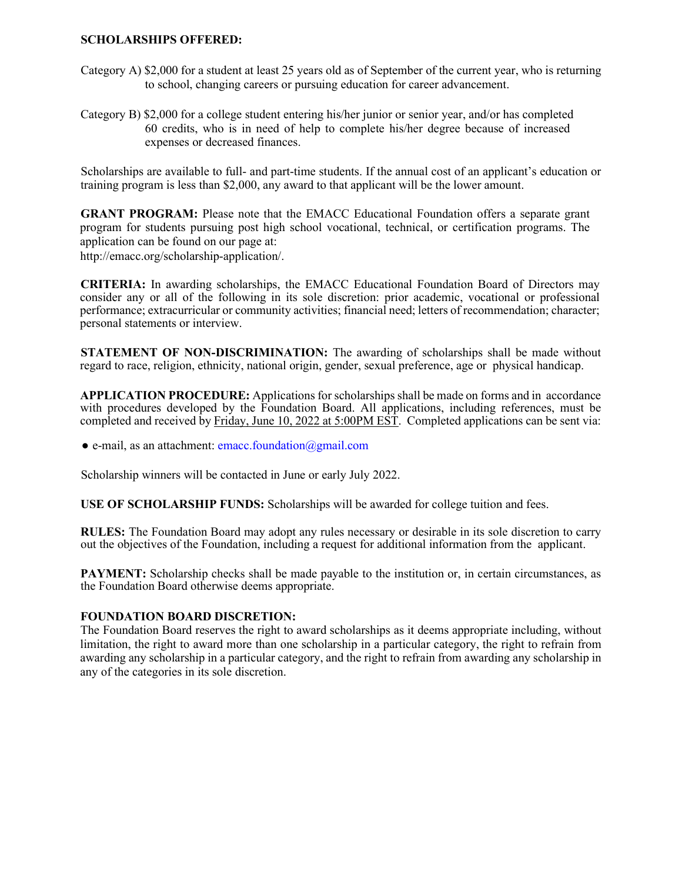#### **SCHOLARSHIPS OFFERED:**

- Category A) \$2,000 for a student at least 25 years old as of September of the current year, who is returning to school, changing careers or pursuing education for career advancement.
- Category B) \$2,000 for a college student entering his/her junior or senior year, and/or has completed 60 credits, who is in need of help to complete his/her degree because of increased expenses or decreased finances.

Scholarships are available to full- and part-time students. If the annual cost of an applicant's education or training program is less than \$2,000, any award to that applicant will be the lower amount.

**GRANT PROGRAM:** Please note that the EMACC Educational Foundation offers a separate grant program for students pursuing post high school vocational, technical, or certification programs. The application can be found on our page at: http://emacc.org/scholarship-application/.

**CRITERIA:** In awarding scholarships, the EMACC Educational Foundation Board of Directors may consider any or all of the following in its sole discretion: prior academic, vocational or professional performance; extracurricular or community activities; financial need; letters of recommendation; character; personal statements or interview.

**STATEMENT OF NON-DISCRIMINATION:** The awarding of scholarships shall be made without regard to race, religion, ethnicity, national origin, gender, sexual preference, age or physical handicap.

**APPLICATION PROCEDURE:** Applications for scholarships shall be made on forms and in accordance with procedures developed by the Foundation Board. All applications, including references, must be completed and received by Friday, June 10, 2022 at 5:00PM EST. Completed applications can be sent via:

 $\bullet$  e-mail, as an attachment: emacc.foundation@gmail.com

Scholarship winners will be contacted in June or early July 2022.

**USE OF SCHOLARSHIP FUNDS:** Scholarships will be awarded for college tuition and fees.

**RULES:** The Foundation Board may adopt any rules necessary or desirable in its sole discretion to carry out the objectives of the Foundation, including a request for additional information from the applicant.

**PAYMENT:** Scholarship checks shall be made payable to the institution or, in certain circumstances, as the Foundation Board otherwise deems appropriate.

#### **FOUNDATION BOARD DISCRETION:**

The Foundation Board reserves the right to award scholarships as it deems appropriate including, without limitation, the right to award more than one scholarship in a particular category, the right to refrain from awarding any scholarship in a particular category, and the right to refrain from awarding any scholarship in any of the categories in its sole discretion.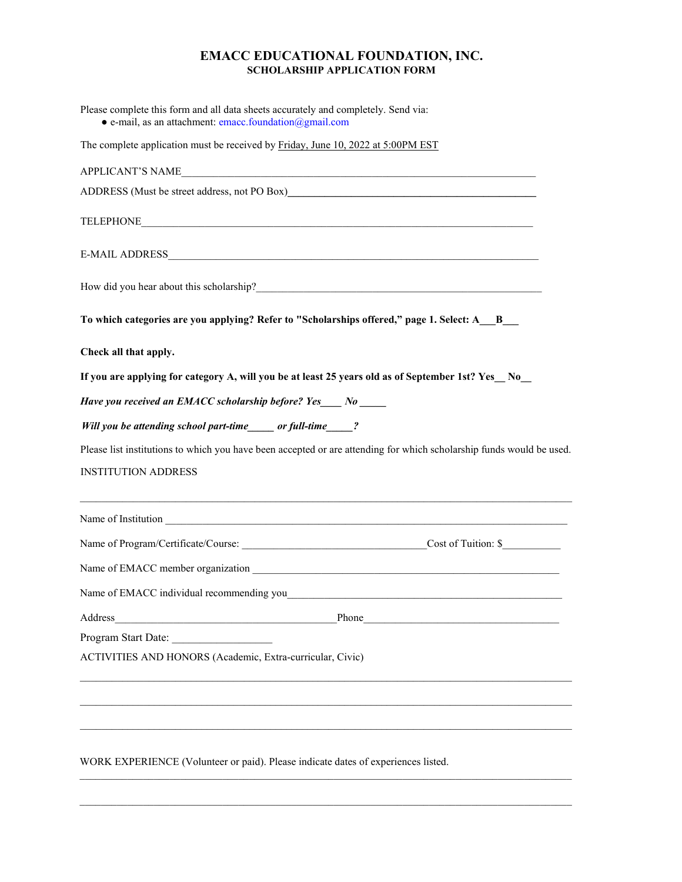| Please complete this form and all data sheets accurately and completely. Send via:<br>$\bullet$ e-mail, as an attachment: emacc.foundation@gmail.com                |                                                                                                                      |  |
|---------------------------------------------------------------------------------------------------------------------------------------------------------------------|----------------------------------------------------------------------------------------------------------------------|--|
| The complete application must be received by Friday, June 10, 2022 at 5:00PM EST                                                                                    |                                                                                                                      |  |
| <b>APPLICANT'S NAME</b>                                                                                                                                             | <u> 1989 - Johann Stein, mars an deutscher Stein und der Stein und der Stein und der Stein und der Stein und der</u> |  |
| ADDRESS (Must be street address, not PO Box)                                                                                                                        |                                                                                                                      |  |
|                                                                                                                                                                     |                                                                                                                      |  |
|                                                                                                                                                                     |                                                                                                                      |  |
|                                                                                                                                                                     |                                                                                                                      |  |
| To which categories are you applying? Refer to "Scholarships offered," page 1. Select: A_B_                                                                         |                                                                                                                      |  |
| Check all that apply.                                                                                                                                               |                                                                                                                      |  |
| If you are applying for category A, will you be at least 25 years old as of September 1st? Yes No<br>Have you received an EMACC scholarship before? Yes____ No ____ |                                                                                                                      |  |
|                                                                                                                                                                     |                                                                                                                      |  |
| Please list institutions to which you have been accepted or are attending for which scholarship funds would be used.                                                |                                                                                                                      |  |
| <b>INSTITUTION ADDRESS</b>                                                                                                                                          |                                                                                                                      |  |
|                                                                                                                                                                     |                                                                                                                      |  |
|                                                                                                                                                                     |                                                                                                                      |  |
|                                                                                                                                                                     |                                                                                                                      |  |
| Name of EMACC individual recommending you_                                                                                                                          |                                                                                                                      |  |
| Address                                                                                                                                                             |                                                                                                                      |  |
| Program Start Date:                                                                                                                                                 |                                                                                                                      |  |
| ACTIVITIES AND HONORS (Academic, Extra-curricular, Civic)                                                                                                           |                                                                                                                      |  |
|                                                                                                                                                                     |                                                                                                                      |  |
|                                                                                                                                                                     |                                                                                                                      |  |
| WORK EXPERIENCE (Volunteer or paid). Please indicate dates of experiences listed.                                                                                   |                                                                                                                      |  |

 $\mathcal{L}_\mathcal{L} = \{ \mathcal{L}_\mathcal{L} = \{ \mathcal{L}_\mathcal{L} = \{ \mathcal{L}_\mathcal{L} = \{ \mathcal{L}_\mathcal{L} = \{ \mathcal{L}_\mathcal{L} = \{ \mathcal{L}_\mathcal{L} = \{ \mathcal{L}_\mathcal{L} = \{ \mathcal{L}_\mathcal{L} = \{ \mathcal{L}_\mathcal{L} = \{ \mathcal{L}_\mathcal{L} = \{ \mathcal{L}_\mathcal{L} = \{ \mathcal{L}_\mathcal{L} = \{ \mathcal{L}_\mathcal{L} = \{ \mathcal{L}_\mathcal{$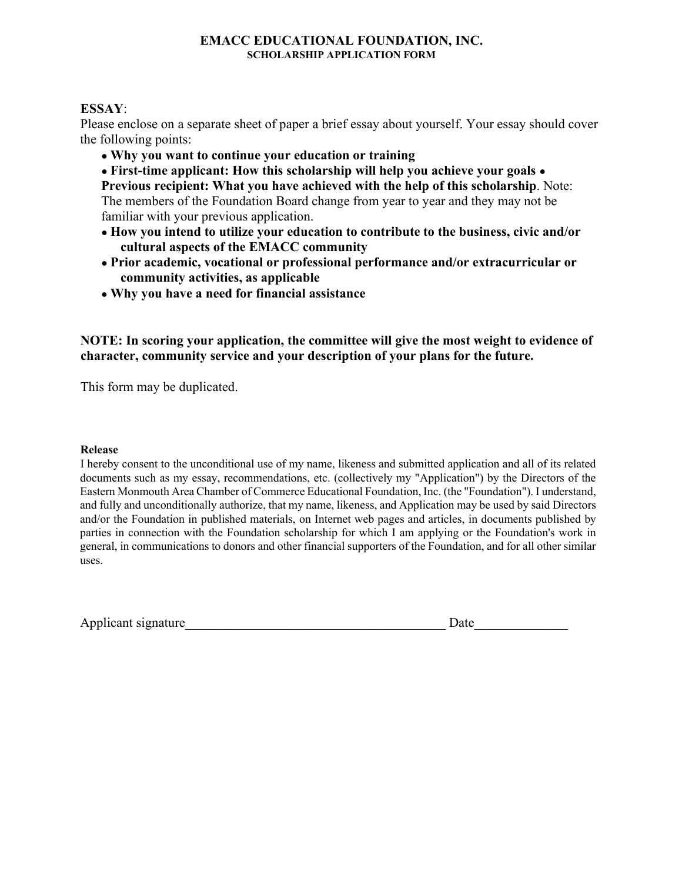## **ESSAY**:

Please enclose on a separate sheet of paper a brief essay about yourself. Your essay should cover the following points:

● **Why you want to continue your education or training** 

● **First-time applicant: How this scholarship will help you achieve your goals** ● **Previous recipient: What you have achieved with the help of this scholarship**. Note: The members of the Foundation Board change from year to year and they may not be familiar with your previous application.

- **How you intend to utilize your education to contribute to the business, civic and/or cultural aspects of the EMACC community**
- **Prior academic, vocational or professional performance and/or extracurricular or community activities, as applicable**
- **Why you have a need for financial assistance**

**NOTE: In scoring your application, the committee will give the most weight to evidence of character, community service and your description of your plans for the future.** 

This form may be duplicated.

#### **Release**

I hereby consent to the unconditional use of my name, likeness and submitted application and all of its related documents such as my essay, recommendations, etc. (collectively my "Application") by the Directors of the Eastern Monmouth Area Chamber of Commerce Educational Foundation, Inc. (the "Foundation"). I understand, and fully and unconditionally authorize, that my name, likeness, and Application may be used by said Directors and/or the Foundation in published materials, on Internet web pages and articles, in documents published by parties in connection with the Foundation scholarship for which I am applying or the Foundation's work in general, in communications to donors and other financial supporters of the Foundation, and for all other similar uses.

| Applicant signature |  |
|---------------------|--|
|---------------------|--|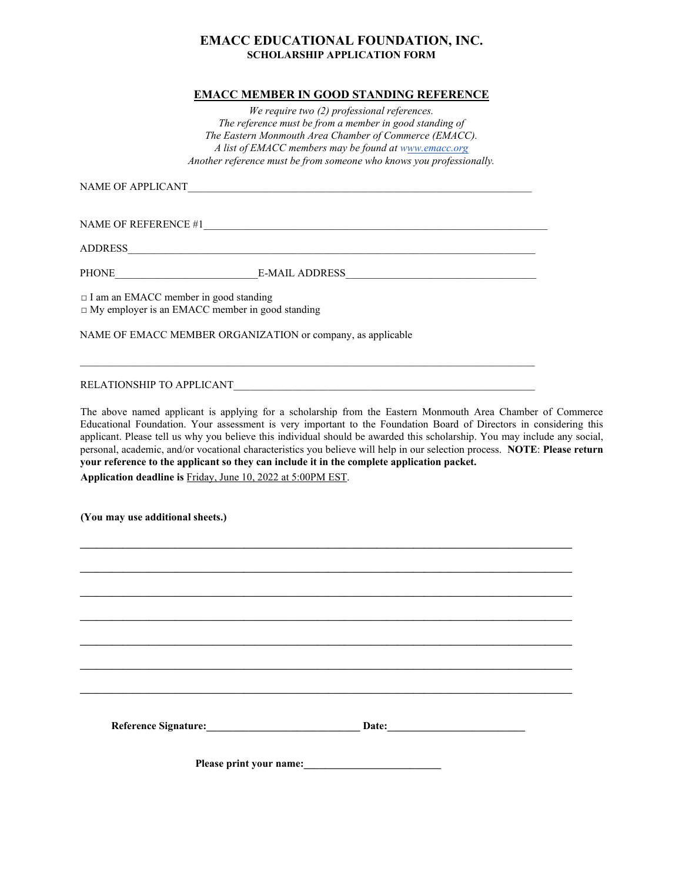#### **EMACC MEMBER IN GOOD STANDING REFERENCE**

*We require two (2) professional references. The reference must be from a member in good standing of The Eastern Monmouth Area Chamber of Commerce (EMACC). A list of EMACC members may be found at www.emacc.org Another reference must be from someone who knows you professionally.* 

NAME OF APPLICANT

NAME OF REFERENCE #1

ADDRESS\_\_\_\_\_\_\_\_\_\_\_\_\_\_\_\_\_\_\_\_\_\_\_\_\_\_\_\_\_\_\_\_\_\_\_\_\_\_\_\_\_\_\_\_\_\_\_\_\_\_\_\_\_\_\_\_\_\_\_\_\_\_\_\_\_\_\_\_\_\_\_\_\_\_\_\_\_

PHONE\_\_\_\_\_\_\_\_\_\_\_\_\_\_\_\_\_\_\_\_\_\_\_\_\_\_\_E-MAIL ADDRESS\_\_\_\_\_\_\_\_\_\_\_\_\_\_\_\_\_\_\_\_\_\_\_\_\_\_\_\_\_\_\_\_\_\_\_\_

 $\Box$  I am an EMACC member in good standing

□ My employer is an EMACC member in good standing

NAME OF EMACC MEMBER ORGANIZATION or company, as applicable

#### RELATIONSHIP TO APPLICANT

The above named applicant is applying for a scholarship from the Eastern Monmouth Area Chamber of Commerce Educational Foundation. Your assessment is very important to the Foundation Board of Directors in considering this applicant. Please tell us why you believe this individual should be awarded this scholarship. You may include any social, personal, academic, and/or vocational characteristics you believe will help in our selection process. **NOTE**: **Please return your reference to the applicant so they can include it in the complete application packet. Application deadline is** Friday, June 10, 2022 at 5:00PM EST.

**\_\_\_\_\_\_\_\_\_\_\_\_\_\_\_\_\_\_\_\_\_\_\_\_\_\_\_\_\_\_\_\_\_\_\_\_\_\_\_\_\_\_\_\_\_\_\_\_\_\_\_\_\_\_\_\_\_\_\_\_\_\_\_\_\_\_\_\_\_\_\_\_\_\_\_\_\_\_\_\_\_\_\_\_\_\_\_\_\_\_\_\_\_** 

**\_\_\_\_\_\_\_\_\_\_\_\_\_\_\_\_\_\_\_\_\_\_\_\_\_\_\_\_\_\_\_\_\_\_\_\_\_\_\_\_\_\_\_\_\_\_\_\_\_\_\_\_\_\_\_\_\_\_\_\_\_\_\_\_\_\_\_\_\_\_\_\_\_\_\_\_\_\_\_\_\_\_\_\_\_\_\_\_\_\_\_\_\_** 

**\_\_\_\_\_\_\_\_\_\_\_\_\_\_\_\_\_\_\_\_\_\_\_\_\_\_\_\_\_\_\_\_\_\_\_\_\_\_\_\_\_\_\_\_\_\_\_\_\_\_\_\_\_\_\_\_\_\_\_\_\_\_\_\_\_\_\_\_\_\_\_\_\_\_\_\_\_\_\_\_\_\_\_\_\_\_\_\_\_\_\_\_\_** 

**\_\_\_\_\_\_\_\_\_\_\_\_\_\_\_\_\_\_\_\_\_\_\_\_\_\_\_\_\_\_\_\_\_\_\_\_\_\_\_\_\_\_\_\_\_\_\_\_\_\_\_\_\_\_\_\_\_\_\_\_\_\_\_\_\_\_\_\_\_\_\_\_\_\_\_\_\_\_\_\_\_\_\_\_\_\_\_\_\_\_\_\_\_** 

**\_\_\_\_\_\_\_\_\_\_\_\_\_\_\_\_\_\_\_\_\_\_\_\_\_\_\_\_\_\_\_\_\_\_\_\_\_\_\_\_\_\_\_\_\_\_\_\_\_\_\_\_\_\_\_\_\_\_\_\_\_\_\_\_\_\_\_\_\_\_\_\_\_\_\_\_\_\_\_\_\_\_\_\_\_\_\_\_\_\_\_\_\_** 

**\_\_\_\_\_\_\_\_\_\_\_\_\_\_\_\_\_\_\_\_\_\_\_\_\_\_\_\_\_\_\_\_\_\_\_\_\_\_\_\_\_\_\_\_\_\_\_\_\_\_\_\_\_\_\_\_\_\_\_\_\_\_\_\_\_\_\_\_\_\_\_\_\_\_\_\_\_\_\_\_\_\_\_\_\_\_\_\_\_\_\_\_\_** 

**\_\_\_\_\_\_\_\_\_\_\_\_\_\_\_\_\_\_\_\_\_\_\_\_\_\_\_\_\_\_\_\_\_\_\_\_\_\_\_\_\_\_\_\_\_\_\_\_\_\_\_\_\_\_\_\_\_\_\_\_\_\_\_\_\_\_\_\_\_\_\_\_\_\_\_\_\_\_\_\_\_\_\_\_\_\_\_\_\_\_\_\_\_** 

 $\_$  , and the set of the set of the set of the set of the set of the set of the set of the set of the set of the set of the set of the set of the set of the set of the set of the set of the set of the set of the set of th

**(You may use additional sheets.)** 

**Reference Signature:\_\_\_\_\_\_\_\_\_\_\_\_\_\_\_\_\_\_\_\_\_\_\_\_\_\_\_\_\_ Date:\_\_\_\_\_\_\_\_\_\_\_\_\_\_\_\_\_\_\_\_\_\_\_\_\_\_** 

**Please print your name:**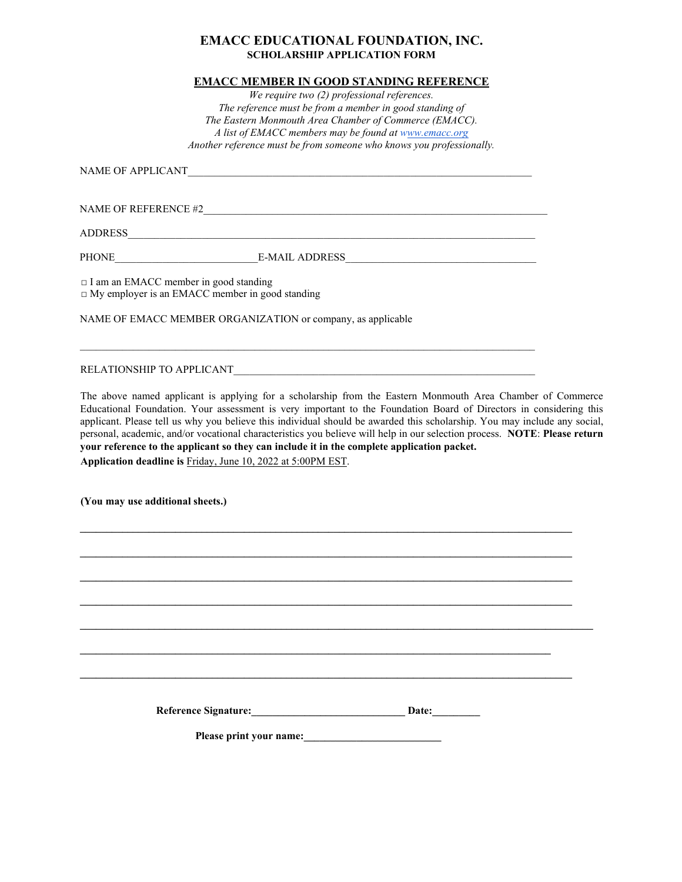#### **EMACC MEMBER IN GOOD STANDING REFERENCE**

*We require two (2) professional references. The reference must be from a member in good standing of The Eastern Monmouth Area Chamber of Commerce (EMACC). A list of EMACC members may be found at www.emacc.org Another reference must be from someone who knows you professionally.* 

NAME OF APPLICANT

NAME OF REFERENCE #2\_\_\_\_\_\_\_\_\_\_\_\_\_\_\_\_\_\_\_\_\_\_\_\_\_\_\_\_\_\_\_\_\_\_\_\_\_\_\_\_\_\_\_\_\_\_\_\_\_\_\_\_\_\_\_\_\_\_\_\_\_\_\_\_\_

ADDRESS\_\_\_\_\_\_\_\_\_\_\_\_\_\_\_\_\_\_\_\_\_\_\_\_\_\_\_\_\_\_\_\_\_\_\_\_\_\_\_\_\_\_\_\_\_\_\_\_\_\_\_\_\_\_\_\_\_\_\_\_\_\_\_\_\_\_\_\_\_\_\_\_\_\_\_\_\_

PHONE E-MAIL ADDRESS

 $\_$  , and the set of the set of the set of the set of the set of the set of the set of the set of the set of the set of the set of the set of the set of the set of the set of the set of the set of the set of the set of th

□ I am an EMACC member in good standing □ My employer is an EMACC member in good standing

NAME OF EMACC MEMBER ORGANIZATION or company, as applicable

RELATIONSHIP TO APPLICANT

The above named applicant is applying for a scholarship from the Eastern Monmouth Area Chamber of Commerce Educational Foundation. Your assessment is very important to the Foundation Board of Directors in considering this applicant. Please tell us why you believe this individual should be awarded this scholarship. You may include any social, personal, academic, and/or vocational characteristics you believe will help in our selection process. **NOTE**: **Please return your reference to the applicant so they can include it in the complete application packet. Application deadline is** Friday, June 10, 2022 at 5:00PM EST.

**\_\_\_\_\_\_\_\_\_\_\_\_\_\_\_\_\_\_\_\_\_\_\_\_\_\_\_\_\_\_\_\_\_\_\_\_\_\_\_\_\_\_\_\_\_\_\_\_\_\_\_\_\_\_\_\_\_\_\_\_\_\_\_\_\_\_\_\_\_\_\_\_\_\_\_\_\_\_\_\_\_\_\_\_\_\_\_\_\_\_\_\_\_** 

**\_\_\_\_\_\_\_\_\_\_\_\_\_\_\_\_\_\_\_\_\_\_\_\_\_\_\_\_\_\_\_\_\_\_\_\_\_\_\_\_\_\_\_\_\_\_\_\_\_\_\_\_\_\_\_\_\_\_\_\_\_\_\_\_\_\_\_\_\_\_\_\_\_\_\_\_\_\_\_\_\_\_\_\_\_\_\_\_\_\_\_\_\_** 

**\_\_\_\_\_\_\_\_\_\_\_\_\_\_\_\_\_\_\_\_\_\_\_\_\_\_\_\_\_\_\_\_\_\_\_\_\_\_\_\_\_\_\_\_\_\_\_\_\_\_\_\_\_\_\_\_\_\_\_\_\_\_\_\_\_\_\_\_\_\_\_\_\_\_\_\_\_\_\_\_\_\_\_\_\_\_\_\_\_\_\_\_\_** 

**\_\_\_\_\_\_\_\_\_\_\_\_\_\_\_\_\_\_\_\_\_\_\_\_\_\_\_\_\_\_\_\_\_\_\_\_\_\_\_\_\_\_\_\_\_\_\_\_\_\_\_\_\_\_\_\_\_\_\_\_\_\_\_\_\_\_\_\_\_\_\_\_\_\_\_\_\_\_\_\_\_\_\_\_\_\_\_\_\_\_\_\_\_** 

**\_\_\_\_\_\_\_\_\_\_\_\_\_\_\_\_\_\_\_\_\_\_\_\_\_\_\_\_\_\_\_\_\_\_\_\_\_\_\_\_\_\_\_\_\_\_\_\_\_\_\_\_\_\_\_\_\_\_\_\_\_\_\_\_\_\_\_\_\_\_\_\_\_\_\_\_\_\_\_\_\_\_\_\_\_\_\_\_\_\_\_\_\_** 

**\_\_\_\_\_\_\_\_\_\_\_\_\_\_\_\_\_\_\_\_\_\_\_\_\_\_\_\_\_\_\_\_\_\_\_\_\_\_\_\_\_\_\_\_\_\_\_\_\_\_\_\_\_\_\_\_\_\_\_\_\_\_\_\_\_\_\_\_\_\_\_\_\_\_\_\_\_\_\_\_\_\_\_\_\_\_\_\_\_\_\_\_\_\_\_\_\_**

**(You may use additional sheets.)** 

Reference Signature: **Network** Date:

**\_\_\_\_\_\_\_\_\_\_\_\_\_\_\_\_\_\_\_\_\_\_\_\_\_\_\_\_\_\_\_\_\_\_\_\_\_\_\_\_\_\_\_\_\_\_\_\_\_\_\_\_\_\_\_\_\_\_\_\_\_\_\_\_\_\_\_\_\_\_\_\_\_\_\_\_\_\_\_\_\_\_\_\_\_\_\_\_\_** 

Please print your name: